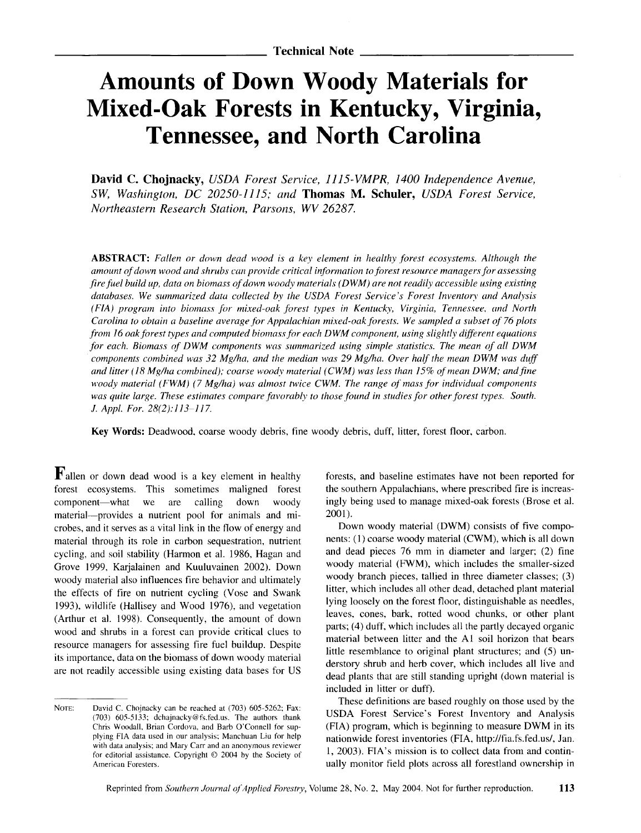# **Amounts of Down Woody Materials for Mixed-Oak Forests in Kentucky, Virginia, Tennessee, and North Carolina**

**David C. Chojnacky,** *USDA Forest Service,* 11 *15-VMPR, 1400 Independence Avenue, SW, Washington, DC 202.50-1 11 5; and* **Thomas** *M.* **Schuler,** *USDA Forest Service, Northeastern Research Station, Parsons, WV 26287.* 

*ABSTRACT: Fallen or down dead wood is a key element in healthy forest ecosystems. Although the amount of down wood and shrubs can provide critical information to forest resource managers for assessing fire fuel build up, data on biomass of down woody materials (DWM) are not readily accessible using existing* databases. We summarized data collected by the USDA Forest Service's Forest Inventory and Analysis *(FIA) program into biomass for mixed-oak forest types in Kentucky, Virginia, Tennessee, and North Carolina to obtain a baseline average for Appalachian mi.wd-ocrk forests. We sampled a subset of 76 plots from 16 oak forest types and computed biomass for each DWM component, using slightly different equations* for each. Biomass of DWM components was summarized using simple statistics. The mean of all DWM *components combined was 32 Mg/ha, and the median was 29 Mg/ha. Over half the mean DWM was duff and litter (18 Mg/lza combined); coarse woody material (CWM) was less than 15% of mean DWM; andfine woody material (FWM) (7 Mg/ha) was almost twice CWM. The range of mass for individual components* was quite large. These estimates compare favorably to those found in studies for other forest types. South. *J. Appl. For. 28(2): 113-1 17.* 

**Key Words:** *Deadwood, coarse woody debris, fine woody debris, duff, litter, forest floor, carbon.* 

*Fallen or down dead wood is a key element in healthy forest ecosystems. This sometimes maligned forest component-what we are calling down woody material-provides a nutrient pool for animals and microbes, and it serves as a vital link in the flow of energy arid material through its role in carbon sequestration, nutrient cycling, and soil stability (Harmon et al. 1986, Hagan and Grove 1999, Karjalainen and Kuuluvainen 2002). Down woody material also influences fire behavior and ultimately the effects of fire on nutrient cycling (Vose and Swank 1993), wildlife (Hallisey and Wood 1976). and vegetation (Arthur et al. 1998). Consequently, the amount of down wood and shrubs in a forest can provide critical clues to resource managers for assessing fire fuel buildup. Despite its importance, data on the biomass of down woody material are not readily accessible using existing data bases for US* 

*forests, and baseline estimates have not been reported for the southern Appalachians, where prescribed fire is increasingly being used to manage mixed-oak forests (Brose et al. 2001).* 

*Down woody material (DWM) consists of five components:* (I) *coarse woody material (CWM), which is all down and dead pieces 76 mm in diameter and larger; (2) fine woody material (FWM), which includes the smaller-sized woody branch pieces, tallied in three diameter classes; (3) litter, which includes all other dead, detached plant material lying loosely on the forest floor, distinguishable as needles, leaves. cones, bark, rotted wood chunks, or other plant parts; (4) duff, which includes all the partly decayed organic material between litter and the A1 soil horizon that bears little resemblance to original plant structures: and (5) understory shrub and herb cover, which includes all live and dead plants that are still standing upright (down material is included in litter or duff).* 

*These definitions are based roughly on those used by the USDA Forest Service's Forest Inventory and Analysis (FIA) program, which is beginning to measure DWM in its nationwide forest inventories (FIA, http://fia.fs.fed.us/, Jan. 1, 2003). FIA's mission is to collect data from and continually monitor field plots across all forestland ownership in* 

NOTE: David C. Chojnacky can be reached at (703) 605-5262; Fax: (703) 605-5133; dchajnacky@fs.fed.us. The authors thank Chris Woodall, Brian Cordova, and Barb O'Connell for supplying FIA data used in our analysis: Manchuan Liu for help with data analysis; and Mary Carr and an anonymous reviewer for editorial assistance. Copyright  $\odot$  2004 by the Society of American Foresters.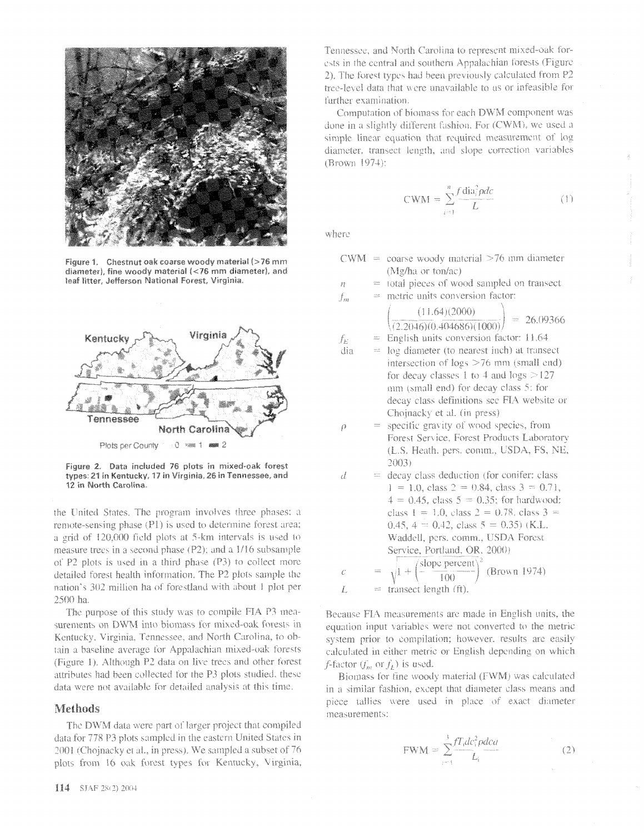

Figure 1. Chestnut oak coarse woody material (>76 mm diameter), fine woody material (<76 mm diameter), and leaf litter, Jefferson National Forest, Virginia.



Figure 2. Data included 76 plots in mixed-oak forest types: 21 in Kentucky, 17 in Virginia, 26 in Tennessee, and 12 in North Carolina.

the United States. The program involves three phases: a remote-sensing phase (P1) is used to determine forest area; a grid of 120,000 field plots at 5-km intervals is used to measure trees in a second phase (P2); and a 1/16 subsample of P2 plots is used in a third phase (P3) to collect more detailed forest health information. The P2 plots sample the nation's 302 million ha of forestland with about 1 plot per 2500 ha.

The purpose of this study was to compile FIA P3 measurements on DWM into biomass for mixed-oak forests in Kentucky, Virginia, Tennessee, and North Carolina, to obtain a baseline average for Appalachian mixed-oak forests (Figure 1). Although P2 data on live trees and other forest attributes had been collected for the P3 plots studied, these data were not available for detailed analysis at this time.

### Methods

The DWM data were part of larger project that compiled data for 778 P3 plots sampled in the eastern United States in 2001 (Chojnacky et al., in press). We sampled a subset of 76 plots from 16 oak forest types for Kentucky, Virginia, Tennessee, and North Carolina to represent mixed-oak forests in the central and southern Appalachian forests (Figure 2). The forest types had been previously calculated from P2 tree-level data that were unavailable to us or infeasible for further examination.

Computation of biomass for each DWM component was done in a slightly different fashion. For (CWM), we used a simple linear equation that required measurement of log diameter, transect length, and slope correction variables (Brown 1974):

$$
CWM = \sum_{i=1}^{n} \frac{f \operatorname{dia}_i^2 \rho dc}{L} \tag{1}
$$

where

 $\overline{n}$ 

 $f_E$ 

 $\hat{\rho}$ 

- $CWM = \text{coarse woodv material } > 76 \text{ mm diameter}$ (Mg/ha or ton/ac)
	- $=$  total pieces of wood sampled on transect
- $=$  metric units conversion factor:  $f_m$

$$
\left(\frac{(11.64)(2000)}{(2.2046)(0.404686)(1000)}\right) = 26.09366
$$

$$
=
$$
 English units conversion factor: 11.64

\n
$$
dia
$$
 = log diameter (to nearest inch) at transect intersection of logs >76 mm (small end) for decay classes 1 to 4 and logs >127 mm (small end) for decay class 5; for decay class definitions see FIA website or Choinacky et al. (in press)\n

 $=$  specific gravity of wood species, from Forest Service, Forest Products Laboratory (L.S. Heath, pers. comm., USDA, FS, NE,  $2003$ 

$$
d = \text{decay class deduction (for conifer: class } 1 = 1.0, \text{class } 2 = 0.84, \text{ class } 3 = 0.71, 4 = 0.45, \text{class } 5 = 0.35; \text{ for hardwood: } 1 = 1.0, \text{class } 2 = 0.78, \text{class } 3 = 0.45, 4 = 0.42, \text{class } 5 = 0.35) \text{ (K.L. } \text{Waddell, pers. comm., USDA Forest } \text{Service, Portland, OR. 2000)}c = \sqrt{1 + \left(\frac{\text{slope percent}}{100}\right)^2} \text{ (Brown 1974)}
$$
L = \text{transfer length (ft)}.
$$
$$

Because FIA measurements are made in English units, the equation input variables were not converted to the metric system prior to compilation; however, results are easily calculated in either metric or English depending on which *f*-factor  $(f_m$  or  $f_k$  is used.

Biomass for fine woody material (FWM) was calculated in a similar fashion, except that diameter class means and piece tallies were used in place of exact diameter measurements:

$$
FWM = \sum_{i=1}^{3} \frac{fT_i dc_i^2 \rho dcu}{L_i} \tag{2}
$$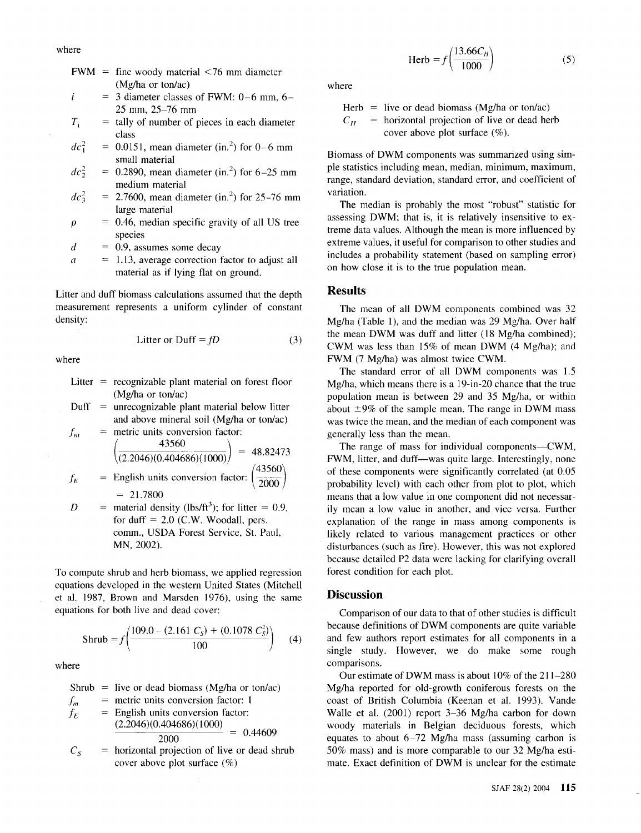where

|  | $FWM =$ fine woody material $\leq 76$ mm diameter |
|--|---------------------------------------------------|
|  | $(Mg/ha$ or ton/ac)                               |
|  | $=$ 3 diameter classes of FWM: 0–6 mm 6           |

$$
= 3 diameter classes of FWM: 0-6 mm, 6-25 mm, 25-76 mm
$$

- **Ti**  = tally of number of pieces in each diameter class
- $dc_1^2$  $= 0.0151$ , mean diameter (in.<sup>2</sup>) for 0-6 mm small material
- $dc^2$  $= 0.2890$ , mean diameter (in.<sup>2</sup>) for 6–25 mm medium material

$$
dc_3^2 = 2.7600
$$
, mean diameter (in.<sup>2</sup>) for 25–76 mm  
large material

- $\rho$  $= 0.46$ , median specific gravity of all US tree species
- d  $= 0.9$ , assumes some decay
- a = 1.13, average correction factor to adjust all material as if lying flat on ground.

Litter and duff biomass calculations assumed that the depth measurement represents a uniform cylinder of constant density:

$$
Litter or Duff = fD
$$
 (3)

where

- Litter  $=$  recognizable plant material on forest floor (Mg/ha or ton/ac)
- $Duff =$  unrecognizable plant material below litter and above mineral soil (Mg/ha or ton/ac)  $f_m$  = metric units conversion factor:

$$
\left(\frac{43560}{(2.2046)(0.404686)(1000)}\right) = 48.82473
$$

$$
f_E = \text{English units conversion factor: } \left(\frac{45566}{2000}\right)
$$
  
= 21.7800

 $D =$  material density (lbs/ft<sup>3</sup>); for litter = 0.9, for duff  $= 2.0$  (C.W. Woodall, pers. comm., USDA Forest Service, St. Paul, MN, 2002).

To compute shrub and herb biomass, we applied regression equations developed in the western United States (Mitchell et al. 1987, Brown and Marsden 1976), using the same equations for both live and dead cover:

$$
Shrub = f\left(\frac{109.0 - (2.161 C_s) + (0.1078 C_s^2)}{100}\right) \quad (4)
$$

where

Shrub = live or dead biomass (Mg/ha or ton/ac)

\n
$$
f_m = \text{metric units conversion factor: 1}
$$
\n
$$
f_E = \text{English units conversion factor:}
$$
\n
$$
\frac{(2.2046)(0.404686)(1000)}{2000} = 0.44609
$$
\n
$$
C_S = \text{horizontal projection of live or dead shrub}
$$

$$
CS = horizontal projection of live or dead shrubcover above plot surface (%)
$$

$$
Herb = f\left(\frac{13.66C_H}{1000}\right) \tag{5}
$$

where

Herb  $=$  live or dead biomass (Mg/ha or ton/ac)  $C_H$  = horizontal projection of live or dead herb cover above plot surface (%).

Biomass of DWM components was summarized using simple statistics including mean, median, minimum, maximum, range, standard deviation, standard error, and coefficient of variation.

The median is probably the most "robust" statistic for assessing DWM; that is, it is relatively insensitive to extreme data values. Although the mean is more influenced by extreme values, it useful for comparison to other studies and includes a probability statement (based on sampling error) on how close it is to the true population mean.

### **Results**

The mean of all DWM components combined was 32 Mg/ha (Table 1), and the median was 29 Mg/ha. Over half the mean DWM was duff and litter (18 Mg/ha combined); CWM was less than 15% of mean DWM (4 Mg/ha); and FWM (7 Mg/ha) was almost twice CWM.

The standard error of all DWM components was 1.5 Mglha, which means there is a 19-in-20 chance that the true population mean is between 29 and 35 Mg/ha, or within about  $\pm 9\%$  of the sample mean. The range in DWM mass was twice the mean, and the median of each component was generally less than the mean.

The range of mass for individual components—CWM, FWM, litter, and duff—was quite large. Interestingly, none of these components were significantly correlated (at 0.05 probability level) with each other from plot to plot, which means that a low value in one component did not necessarily mean a low value in another, and vice versa. Further explanation of the range in mass among components is likely related to various management practices or other disturbances (such as fire). However, this was not explored because detailed P2 data were lacking for clarifying overall forest condition for each plot.

### **Discussion**

Comparison of our data to that of other studies is difficult because definitions of DWM components are quite variable and few authors report estimates for all components in a single study. However, we do make some rough comparisons.

Our estimate of DWM mass is about 10% of the 2 1 1-280 Mgha reported for old-growth coniferous forests on the coast of British Columbia (Keenan et al. 1993). Vande Walle et al. (2001) report 3-36 Mg/ha carbon for down woody materials in Belgian deciduous forests, which equates to about  $6-72$  Mg/ha mass (assuming carbon is 50% mass) and is more comparable to our 32 Mg/ha estimate. Exact definition of DWM is unclear for the estimate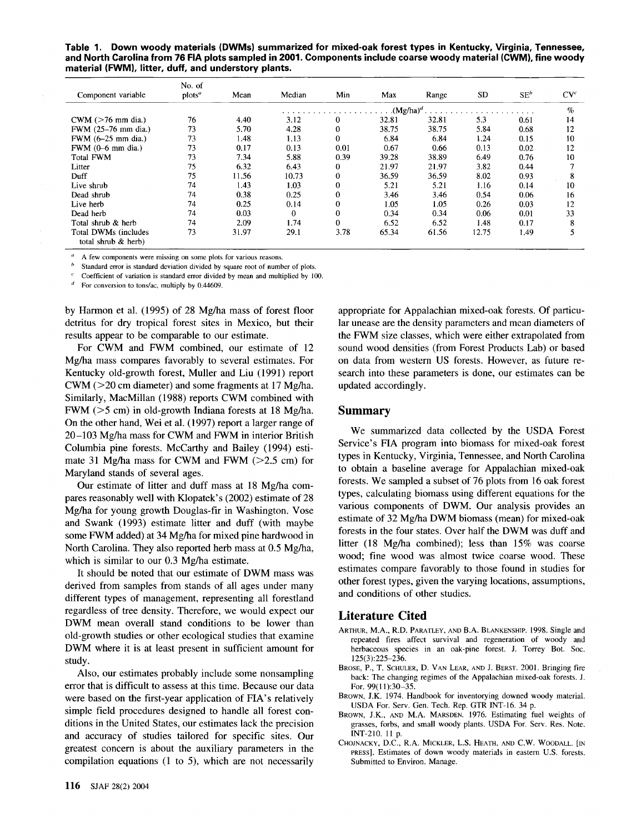**Table 1. Down woody materials (DWMs) summarized for mixed-oak forest types in Kentucky, Virginia, Tennessee, and North Carolina from 76 FIA plots sampled in 2001. Components include coarse woody material (CWM), fine woody material (FWM), litter, duff, and understory plants.** 

| Component variable                             | No. of<br>plots <sup>a</sup> | Mean  | Median                | Min      | Max   | Range | <b>SD</b> | SE <sup>b</sup> | $CV^{c}$ |
|------------------------------------------------|------------------------------|-------|-----------------------|----------|-------|-------|-----------|-----------------|----------|
|                                                |                              |       | .(Mg/ha) <sup>d</sup> |          |       |       |           |                 | $\%$     |
| $CWM$ ( $>76$ mm dia.)                         | 76                           | 4.40  | 3.12                  | $\bf{0}$ | 32.81 | 32.81 | 5.3       | 0.61            | 14       |
| FWM (25-76 mm dia.)                            | 73                           | 5.70  | 4.28                  | $\Omega$ | 38.75 | 38.75 | 5.84      | 0.68            | 12       |
| FWM (6-25 mm dia.)                             | 73                           | 1.48  | 1.13                  | 0        | 6.84  | 6.84  | 1.24      | 0.15            | 10       |
| FWM (0–6 mm dia.)                              | 73                           | 0.17  | 0.13                  | 0.01     | 0.67  | 0.66  | 0.13      | 0.02            | 12       |
| <b>Total FWM</b>                               | 73                           | 7.34  | 5.88                  | 0.39     | 39.28 | 38.89 | 6.49      | 0.76            | 10       |
| Litter                                         | 75                           | 6.32  | 6.43                  | $\bf{0}$ | 21.97 | 21.97 | 3.82      | 0.44            |          |
| Duff                                           | 75                           | 11.56 | 10.73                 | $\Omega$ | 36.59 | 36.59 | 8.02      | 0.93            | 8        |
| Live shrub                                     | 74                           | 1.43  | 1.03                  | $\Omega$ | 5.21  | 5.21  | 1.16      | 0.14            | 10       |
| Dead shrub                                     | 74                           | 0.38  | 0.25                  | 0        | 3.46  | 3.46  | 0.54      | 0.06            | 16       |
| Live herb                                      | 74                           | 0.25  | 0.14                  | $\Omega$ | 1.05  | 1.05  | 0.26      | 0.03            | 12       |
| Dead herb                                      | 74                           | 0.03  | 0                     | $\theta$ | 0.34  | 0.34  | 0.06      | 0.01            | 33       |
| Total shrub & herb                             | 74                           | 2.09  | 1.74                  | 0        | 6.52  | 6.52  | 1.48      | 0.17            | 8        |
| Total DWMs (includes<br>total shrub $\&$ herb) | 73                           | 31.97 | 29.1                  | 3.78     | 65.34 | 61.56 | 12.75     | 1.49            |          |

A few components were missing on some plots for various reasons.

Standard error is standard deviation divided by square root of number of plots. Coefficient of variation is standard error divided by mean and multiplied by 100. For conversion to tons/ac, multiply by 0.44609.

by Harmon et al. (1995) of 28 Mg/ha mass of forest floor detritus for dry tropical forest sites in Mexico, but their results appear to be comparable to our estimate.

For CWM and FWM combined, our estimate of 12 Mgha mass compares favorably to several estimates. For Kentucky old-growth forest, Muller and Liu (1991) report CWM ( $>$ 20 cm diameter) and some fragments at 17 Mg/ha. Similarly, MacMillan (1988) reports CWM combined with FWM ( $>$ 5 cm) in old-growth Indiana forests at 18 Mg/ha. On the other hand, Wei et al. (1997) report a larger range of 20-103 Mgha mass for CWM and FWM in interior British Columbia pine forests. McCarthy and Bailey (1994) estimate 31 Mg/ha mass for CWM and FWM  $(>2.5 \text{ cm})$  for Maryland stands of several ages.

Our estimate of litter and duff mass at 18 Mg/ha compares reasonably well with Klopatek's (2002) estimate of 28 Mgha for young growth Douglas-fir in Washington. Vose and Swank (1993) estimate litter and duff (with maybe some FWM added) at 34 Mg/ha for mixed pine hardwood in North Carolina. They also reported herb mass at 0.5 Mg/ha, which is similar to our 0.3 Mg/ha estimate.

It should be noted that our estimate of DWM mass was derived from samples from stands of all ages under many different types of management, representing all forestland regardless of tree density. Therefore, we would expect our DWM mean overall stand conditions to be lower than old-growth studies or other ecological studies that examine DWM where it is at least present in sufficient amount for study.

Also, our estimates probably include some nonsampling error that is difficult to assess at this time. Because our data were based on the first-year application of FIA's relatively simple field procedures designed to handle all forest conditions in the United States, our estimates lack the precision and accuracy of studies tailored for specific sites. Our greatest concern is about the auxiliary parameters in the compilation equations (1 to 5), which are not necessarily

appropriate for Appalachian mixed-oak forests. Of particular unease are the density parameters and mean diameters of the FWM size classes, which were either extrapolated from sound wood densities (from Forest Products Lab) or based on data from western US forests. However, as future research into these parameters is done, our estimates can be updated accordingly.

### **Summary**

We summarized data collected by the USDA Forest Service's FIA program into biomass for mixed-oak forest types in Kentucky, Virginia, Tennessee, and North Carolina to obtain a baseline average for Appalachian mixed-oak forests. We sampled a subset of 76 plots from 16 oak forest types, calculating biomass using different equations for the various components of DWM. Our analysis provides an estimate of 32 Mg/ha DWM biomass (mean) for mixed-oak forests in the four states. Over half the DWM was duff and litter (18 Mg/ha combined); less than 15% was coarse wood; fine wood was almost twice coarse wood. These estimates compare favorably to those found in studies for other forest types, given the varying locations, assumptions, and conditions of other studies.

## **Literature Cited**

- ARTHUR, M.A., R.D. PARATLEY, AND B.A. BLANKENSHIP. 1998. Single and repeated fires affect survival and regeneration of woody and herbaceous species in an oak-pine forest. J. Torrey Bot. Soc. 125(3):225-236.
- BROSE, P., T. SCHULER, D. VAN LEAR, AND J. BERST. 2001. Bringing fire back: The changing regimes of the Appalachian mixed-oak forests. J. For. 99(11):30-35.
- BROWN, J.K. 1974. Handbook for inventorying downed woody material. USDA For. Serv. Gen. Tech. Rep. GTR INT-16. 34 p.
- BROWN, J.K., AND M.A. MARSDEN. 1976. Estimating fuel weights of grasses, forbs, and small woody plants. USDA For. Serv. Res. Note. INT-210. 11 p.
- CHOJNACKY, D.C., R.A. MICKLER, L.S. HEATH, AND C.W. WOODALL. [IN PRESS]. Estimates of down woody materials in eastern U.S. forests. Submitted to Environ. Manage.